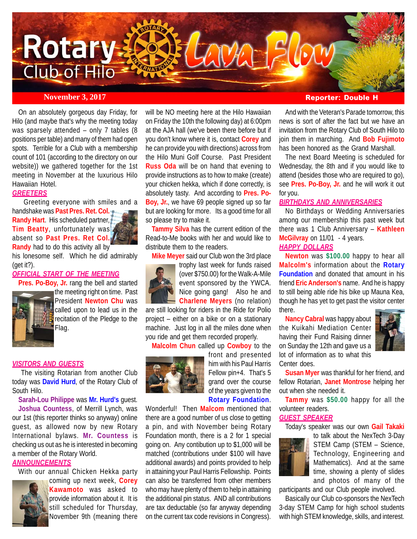

On an absolutely gorgeous day Friday, for Hilo (and maybe that's why the meeting today was sparsely attended – only 7 tables (8 positions per table) and many of them had open spots. Terrible for a Club with a membership count of 101 (according to the directory on our website)) we gathered together for the 1st meeting in November at the luxurious Hilo Hawaiian Hotel.

# *GREETERS*

 Greeting everyone with smiles and a handshake was **Past Pres. Ret. Col. Randy Hart**. His scheduled partner, **Tim Beatty**, unfortunately was absent so **Past Pres. Ret Col. Randy** had to do this activity all by

his lonesome self. Which he did admirably (get it?).

# *OFFICIAL START OF THE MEETING*

**Pres. Po-Boy, Jr.** rang the bell and started the meeting right on time. Past President **Newton Chu** was called upon to lead us in the recitation of the Pledge to the Flag.

## *VISITORS AND GUESTS*

 The visiting Rotarian from another Club today was **David Hurd**, of the Rotary Club of South Hilo.

**Sarah-Lou Philippe** was **Mr. Hurd's** guest.

**Joshua Countess**, of Merrill Lynch, was our 1st (this reporter thinks so anyway) online guest, as allowed now by new Rotary International bylaws. **Mr. Countess** is checking us out as he is interested in becoming a member of the Rotary World.

# *ANNOUNCEMENTS*

With our annual Chicken Hekka party



coming up next week, **Corey Kawamoto** was asked to provide information about it. It is still scheduled for Thursday, November 9th (meaning there

will be NO meeting here at the Hilo Hawaiian on Friday the 10th the following day) at 6:00pm at the AJA hall (we've been there before but if you don't know where it is, contact **Corey** and he can provide you with directions) across from the Hilo Muni Golf Course. Past President **Russ Oda** will be on hand that evening to provide instructions as to how to make (create) your chicken hekka, which if done correctly, is absolutely tasty. And according to **Pres. Po-Boy, Jr.**, we have 69 people signed up so far but are looking for more. Its a good time for all so please try to make it.

**Tammy Silva** has the current edition of the Read-to-Me books with her and would like to distribute them to the readers.

**Mike Meyer** said our Club won the 3rd place



trophy last week for funds raised (over \$750.00) for the Walk-A-Mile event sponsored by the YWCA. Nice going gang! Also he and **Charlene Meyers** (no relation)

are still looking for riders in the Ride for Polio project – either on a bike or on a stationary machine. Just log in all the miles done when you ride and get them recorded properly.

**Malcolm Chun** called up **Cowboy** to the



front and presented him with his Paul Harris Fellow pin+4. That's 5 grand over the course of the years given to the **Rotary Foundation**.

Wonderful! Then **Malcom** mentioned that there are a good number of us close to getting a pin, and with November being Rotary Foundation month, there is a 2 for 1 special going on. Any contibution up to \$1,000 will be matched (contributions under \$100 will have additional awards) and points provided to help in attaining your Paul Harris Fellowship. Points can also be transferred from other members who may have plenty of them to help in attaining the additional pin status. AND all contributions are tax deductable (so far anyway depending on the current tax code revisions in Congress).

# **November 3, 2017 Reporter: Double H**

And with the Veteran's Parade tomorrow, this news is sort of after the fact but we have an invitation from the Rotary Club of South Hilo to join them in marching. And **Bob Fujimoto** has been honored as the Grand Marshall.

The next Board Meeting is scheduled for Wednesday, the 8th and if you would like to attend (besides those who are required to go), see **Pres. Po-Boy, Jr.** and he will work it out for you.

# *BIRTHDAYS AND ANNIVERSARIES*

No Birthdays or Wedding Anniversaries among our membership this past week but there was 1 Club Anniversary – **Kathleen McGilvray** on 11/01 - 4 years. *HAPPY DOLLARS*

**Newton** was **\$100.00** happy to hear all **Malcolm's** information about the **Rotary Foundation** and donated that amount in his friend **Eric Anderson's** name. And he is happy to still being able ride his bike up Mauna Kea, though he has yet to get past the visitor center there.

**Nancy Cabral** was happy about the Kuikahi Mediation Center having their Fund Raising dinner on Sunday the 12th and gave us a lot of information as to what this Center does.



**Susan Myer** was thankful for her friend, and fellow Rotarian, **Janet Montrose** helping her out when she needed it.

**Tammy** was **\$50.00** happy for all the volunteer readers.

# *GUEST SPEAKER*

Today's speaker was our own **Gail Takaki**



to talk about the NexTech 3-Day STEM Camp (STEM – Science, Technology, Engineering and Mathematics). And at the same time, showing a plenty of slides and photos of many of the

participants and our Club people involved.

Basically our Club co-sponsors the NexTech 3-day STEM Camp for high school students with high STEM knowledge, skills, and interest.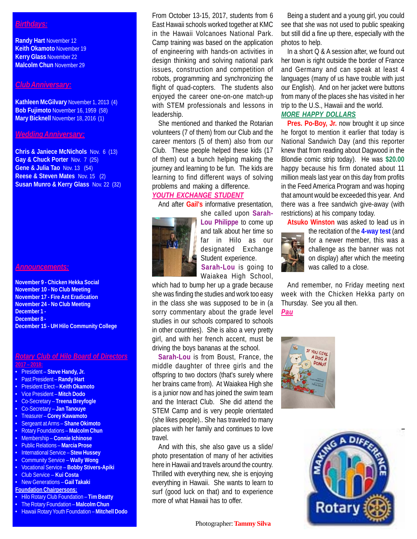# *Birthdays:*

**Randy Hart** November 12 **Keith Okamoto** November 19 **Kerry Glass** November 22 **Malcolm Chun** November 29

# *Club Anniversary:*

**Kathleen McGilvary** November 1, 2013 (4) **Bob Fujimoto** November 16, 1959 (58) **Mary Bicknell** November 18, 2016 (1)

# *Wedding Anniversary:*

**Chris & Janiece McNichols** Nov. 6 (13) **Gay & Chuck Porter** Nov. 7 (25) **Gene & Julia Tao** Nov. 13 (54) **Reese & Steven Mates** Nov. 15 (2) **Susan Munro & Kerry Glass** Nov. 22 (32)

#### *Announcements:*

**November 9 - Chicken Hekka Social November 10 - No Club Meeting November 17 - Fire Ant Eradication November 24 - No Club Meeting December 1 - December 8 - December 15 - UH Hilo Community College**

## *Rotary Club of Hilo Board of Directors* **2017 – 2018:**

- 
- President **Steve Handy, Jr.**
- Past President **Randy Hart**
- President Elect **Keith Okamoto**
- Vice President **Mitch Dodo**
- Co-Secretary **Treena Breyfogle**
- Co-Secretary **Jan Tanouye**
- Treasurer **Corey Kawamoto**
- Sergeant at Arms **Shane Okimoto**
- Rotary Foundations **Malcolm Chun**
- Membership **Connie Ichinose**
- Public Relations **Marcia Prose**
- International Service **Stew Hussey**
- Community Service **Wally Wong**
- Vocational Service **Bobby Stivers-Apiki**
- Club Service **Kui Costa**
- New Generations **Gail Takaki**
- **Foundation Chairpersons:**
- Hilo Rotary Club Foundation **Tim Beatty**
- The Rotary Foundation **Malcolm Chun** • Hawaii Rotary Youth Foundation – **Mitchell Dodo**

From October 13-15, 2017, students from 6 East Hawaii schools worked together at KMC in the Hawaii Volcanoes National Park. Camp training was based on the application of engineering with hands-on activities in design thinking and solving national park issues, construction and competition of robots, programming and synchronizing the flight of quad-copters. The students also enjoyed the career one-on-one match-up with STEM professionals and lessons in leadership.

She mentioned and thanked the Rotarian volunteers (7 of them) from our Club and the career mentors (5 of them) also from our Club. These people helped these kids (17 of them) out a bunch helping making the journey and learning to be fun. The kids are learning to find different ways of solving problems and making a difference.

# *YOUTH EXCHANGE STUDENT*

And after **Gail's** informative presentation,



she called upon **Sarah-Lou Philippe** to come up and talk about her time so far in Hilo as our designated Exchange Student experience.

**Sarah-Lou** is going to Waiakea High School,

which had to bump her up a grade because she was finding the studies and work too easy in the class she was supposed to be in (a sorry commentary about the grade level studies in our schools compared to schools in other countries). She is also a very pretty girl, and with her french accent, must be driving the boys bananas at the school.

**Sarah-Lou** is from Boust, France, the middle daughter of three girls and the offspring to two doctors (that's surely where her brains came from). At Waiakea High she is a junior now and has joined the swim team and the Interact Club. She did attend the STEM Camp and is very people orientated (she likes people).. She has traveled to many places with her family and continues to love travel.

And with this, she also gave us a slide/ photo presentation of many of her activities here in Hawaii and travels around the country. Thrilled with everything new, she is enjoying everything in Hawaii. She wants to learn to surf (good luck on that) and to experience more of what Hawaii has to offer.

Being a student and a young girl, you could see that she was not used to public speaking but still did a fine up there, especially with the photos to help.

In a short Q & A session after, we found out her town is right outside the border of France and Germany and can speak at least 4 languages (many of us have trouble with just our English). And on her jacket were buttons from many of the places she has visited in her trip to the U.S., Hawaii and the world.

# *MORE HAPPY DOLLARS*

**Pres. Po-Boy, Jr.** now brought it up since he forgot to mention it earlier that today is National Sandwich Day (and this reporter knew that from reading about Dagwood in the Blondie comic strip today). He was **\$20.00** happy because his firm donated about 11 million meals last year on this day from profits in the Feed America Program and was hoping that amount would be exceeded this year. And there was a free sandwich give-away (with restrictions) at his company today.

**Atsuko Winston** was asked to lead us in



the recitation of the **4-way test** (and for a newer member, this was a challenge as the banner was not on display) after which the meeting was called to a close.

And remember, no Friday meeting next week with the Chicken Hekka party on Thursday. See you all then. *Pau*